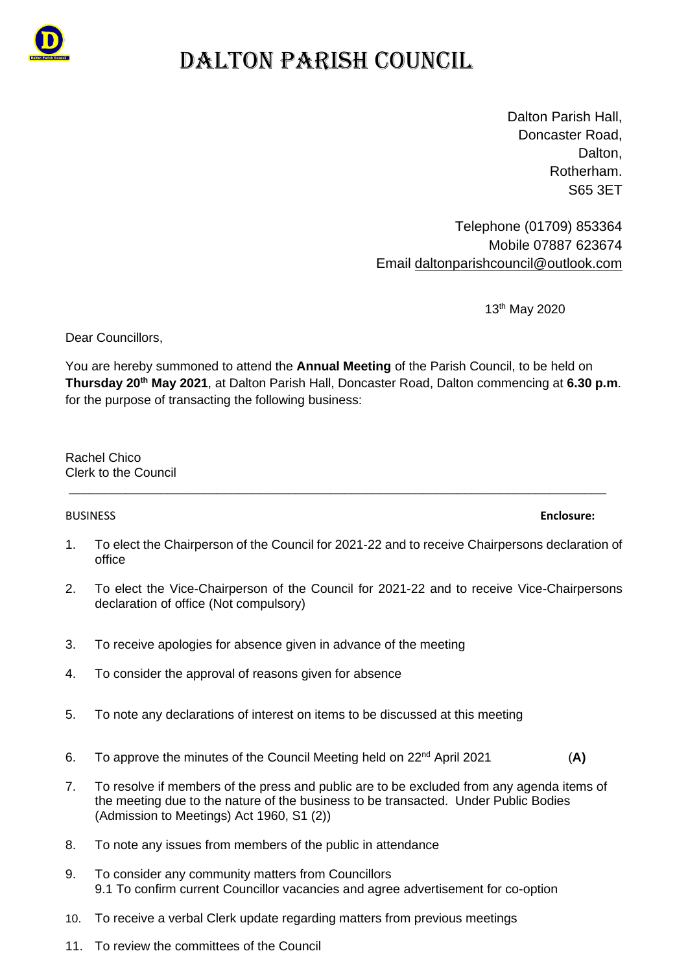

# DALTON PARISH COUNCIL

Dalton Parish Hall, Doncaster Road, Dalton. Rotherham. S65 3ET

Telephone (01709) 853364 Mobile 07887 623674 Email [daltonparishcouncil@outlook.com](mailto:daltonparishcouncil@outlook.com)

13th May 2020

Dear Councillors,

You are hereby summoned to attend the **Annual Meeting** of the Parish Council, to be held on **Thursday 20th May 2021**, at Dalton Parish Hall, Doncaster Road, Dalton commencing at **6.30 p.m**. for the purpose of transacting the following business:

Rachel Chico Clerk to the Council

### 1. To elect the Chairperson of the Council for 2021-22 and to receive Chairpersons declaration of office

\_\_\_\_\_\_\_\_\_\_\_\_\_\_\_\_\_\_\_\_\_\_\_\_\_\_\_\_\_\_\_\_\_\_\_\_\_\_\_\_\_\_\_\_\_\_\_\_\_\_\_\_\_\_\_\_\_\_\_\_\_\_\_\_\_\_\_\_\_\_\_\_\_\_\_\_

- 2. To elect the Vice-Chairperson of the Council for 2021-22 and to receive Vice-Chairpersons declaration of office (Not compulsory)
- 3. To receive apologies for absence given in advance of the meeting
- 4. To consider the approval of reasons given for absence
- 5. To note any declarations of interest on items to be discussed at this meeting
- 6. To approve the minutes of the Council Meeting held on 22nd April 2021 (**A)**
- 7. To resolve if members of the press and public are to be excluded from any agenda items of the meeting due to the nature of the business to be transacted. Under Public Bodies (Admission to Meetings) Act 1960, S1 (2))
- 8. To note any issues from members of the public in attendance
- 9. To consider any community matters from Councillors 9.1 To confirm current Councillor vacancies and agree advertisement for co-option
- 10. To receive a verbal Clerk update regarding matters from previous meetings
- 11. To review the committees of the Council

BUSINESS **Enclosure:**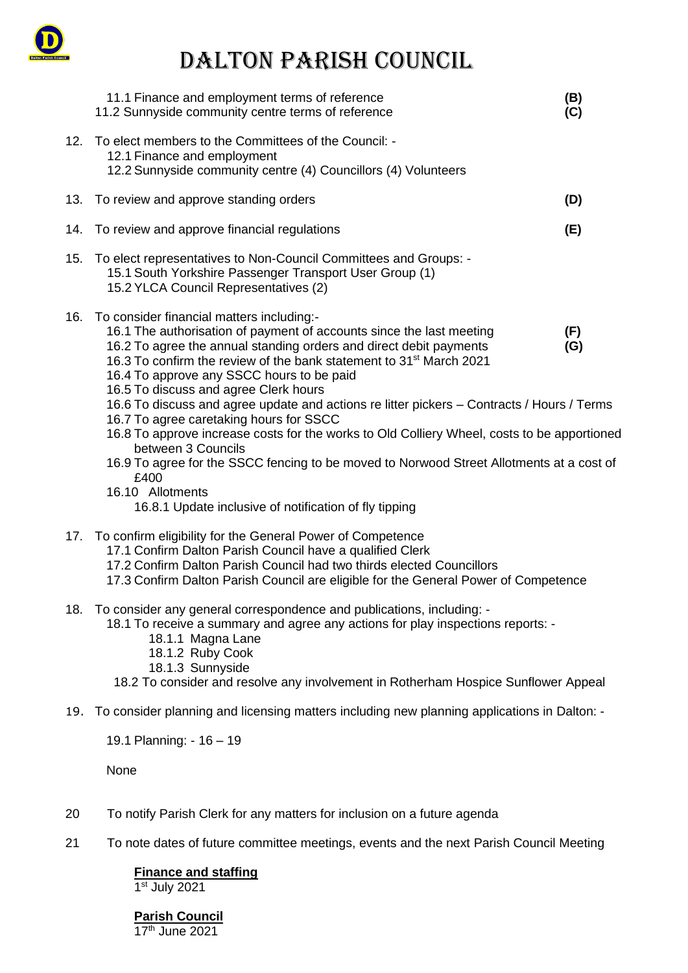

# DALTON PARISH COUNCIL

|     | 11.1 Finance and employment terms of reference<br>11.2 Sunnyside community centre terms of reference                                                                                                                                                                                                                                                                                                                                                                                                                    | (B)<br>(C)                                                                                                                                                                                                                                                                                          |  |
|-----|-------------------------------------------------------------------------------------------------------------------------------------------------------------------------------------------------------------------------------------------------------------------------------------------------------------------------------------------------------------------------------------------------------------------------------------------------------------------------------------------------------------------------|-----------------------------------------------------------------------------------------------------------------------------------------------------------------------------------------------------------------------------------------------------------------------------------------------------|--|
| 12. | To elect members to the Committees of the Council: -<br>12.1 Finance and employment<br>12.2 Sunnyside community centre (4) Councillors (4) Volunteers                                                                                                                                                                                                                                                                                                                                                                   |                                                                                                                                                                                                                                                                                                     |  |
| 13. | To review and approve standing orders                                                                                                                                                                                                                                                                                                                                                                                                                                                                                   | (D)                                                                                                                                                                                                                                                                                                 |  |
| 14. | To review and approve financial regulations                                                                                                                                                                                                                                                                                                                                                                                                                                                                             | (E)                                                                                                                                                                                                                                                                                                 |  |
|     | 15. To elect representatives to Non-Council Committees and Groups: -<br>15.1 South Yorkshire Passenger Transport User Group (1)<br>15.2 YLCA Council Representatives (2)                                                                                                                                                                                                                                                                                                                                                |                                                                                                                                                                                                                                                                                                     |  |
| 16. | To consider financial matters including:-<br>16.1 The authorisation of payment of accounts since the last meeting<br>16.2 To agree the annual standing orders and direct debit payments<br>16.3 To confirm the review of the bank statement to 31 <sup>st</sup> March 2021<br>16.4 To approve any SSCC hours to be paid<br>16.5 To discuss and agree Clerk hours<br>16.7 To agree caretaking hours for SSCC<br>between 3 Councils<br>£400<br>16.10 Allotments<br>16.8.1 Update inclusive of notification of fly tipping | (F)<br>(G)<br>16.6 To discuss and agree update and actions re litter pickers - Contracts / Hours / Terms<br>16.8 To approve increase costs for the works to Old Colliery Wheel, costs to be apportioned<br>16.9 To agree for the SSCC fencing to be moved to Norwood Street Allotments at a cost of |  |
|     | 17. To confirm eligibility for the General Power of Competence<br>17.1 Confirm Dalton Parish Council have a qualified Clerk<br>17.2 Confirm Dalton Parish Council had two thirds elected Councillors<br>17.3 Confirm Dalton Parish Council are eligible for the General Power of Competence                                                                                                                                                                                                                             |                                                                                                                                                                                                                                                                                                     |  |
| 18. | To consider any general correspondence and publications, including: -<br>18.1 To receive a summary and agree any actions for play inspections reports: -<br>18.1.1 Magna Lane<br>18.1.2 Ruby Cook<br>18.1.3 Sunnyside<br>18.2 To consider and resolve any involvement in Rotherham Hospice Sunflower Appeal                                                                                                                                                                                                             |                                                                                                                                                                                                                                                                                                     |  |
|     | 19. To consider planning and licensing matters including new planning applications in Dalton: -                                                                                                                                                                                                                                                                                                                                                                                                                         |                                                                                                                                                                                                                                                                                                     |  |

19.1 Planning: - 16 – 19

None

- 20 To notify Parish Clerk for any matters for inclusion on a future agenda
- 21 To note dates of future committee meetings, events and the next Parish Council Meeting

**Finance and staffing** 1 st July 2021

**Parish Council** 17th June 2021